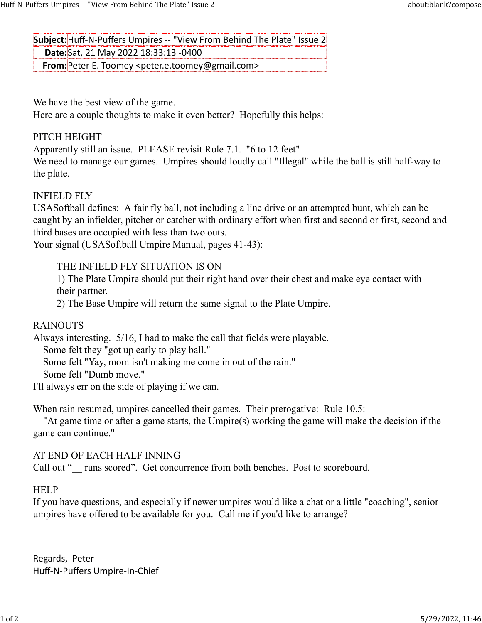Subject: Huff-N-Puffers Umpires -- "View From Behind The Plate" Issue 2 Date:Sat, 21 May 2022 18:33:13 -0400 Huff-N-Puffers Umpires -- "View From Behind The Plate" Issue 2 about:blank?compose<br> **Subject:** Huff-N-Puffers Umpires -- "View From Behind The Plate" Issue 2<br> **Date:** Sat, 21 May 2022 18:33:13 -0400

From:Peter E. Toomey <peter.e.toomey@gmail.com>

We have the best view of the game.

Here are a couple thoughts to make it even better? Hopefully this helps:

# PITCH HEIGHT

Apparently still an issue. PLEASE revisit Rule 7.1. "6 to 12 feet"

We need to manage our games. Umpires should loudly call "Illegal" while the ball is still half-way to the plate.

# INFIELD FLY

USASoftball defines: A fair fly ball, not including a line drive or an attempted bunt, which can be caught by an infielder, pitcher or catcher with ordinary effort when first and second or first, second and third bases are occupied with less than two outs.

Your signal (USASoftball Umpire Manual, pages 41-43):

# THE INFIELD FLY SITUATION IS ON

1) The Plate Umpire should put their right hand over their chest and make eye contact with their partner.

2) The Base Umpire will return the same signal to the Plate Umpire.

# RAINOUTS

Always interesting. 5/16, I had to make the call that fields were playable.

Some felt they "got up early to play ball."

Some felt "Yay, mom isn't making me come in out of the rain."

Some felt "Dumb move."

I'll always err on the side of playing if we can.

When rain resumed, umpires cancelled their games. Their prerogative: Rule 10.5:

 "At game time or after a game starts, the Umpire(s) working the game will make the decision if the game can continue."

## AT END OF EACH HALF INNING

Call out "\_\_ runs scored". Get concurrence from both benches. Post to scoreboard.

# **HELP**

If you have questions, and especially if newer umpires would like a chat or a little "coaching", senior umpires have offered to be available for you. Call me if you'd like to arrange?

Regards, Peter Huff-N-Puffers Umpire-In-Chief